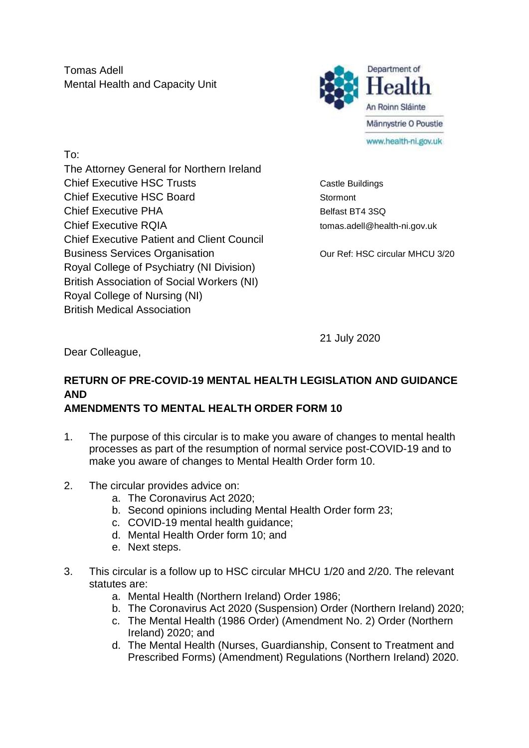Tomas Adell Mental Health and Capacity Unit



To: The Attorney General for Northern Ireland Chief Executive HSC Trusts Chief Executive HSC Trusts Chief Executive HSC Board Stormont Chief Executive PHA Belfast BT4 3SQ Chief Executive RQIA tomas.adell@health-ni.gov.uk Chief Executive Patient and Client Council Business Services Organisation **Dual Cour Ref: HSC circular MHCU 3/20** Royal College of Psychiatry (NI Division) British Association of Social Workers (NI) Royal College of Nursing (NI) British Medical Association

21 July 2020

Dear Colleague,

# **RETURN OF PRE-COVID-19 MENTAL HEALTH LEGISLATION AND GUIDANCE AND**

## **AMENDMENTS TO MENTAL HEALTH ORDER FORM 10**

- 1. The purpose of this circular is to make you aware of changes to mental health processes as part of the resumption of normal service post-COVID-19 and to make you aware of changes to Mental Health Order form 10.
- 2. The circular provides advice on:
	- a. The Coronavirus Act 2020;
	- b. Second opinions including Mental Health Order form 23;
	- c. COVID-19 mental health guidance;
	- d. Mental Health Order form 10; and
	- e. Next steps.
- 3. This circular is a follow up to HSC circular MHCU 1/20 and 2/20. The relevant statutes are:
	- a. Mental Health (Northern Ireland) Order 1986;
	- b. The Coronavirus Act 2020 (Suspension) Order (Northern Ireland) 2020;
	- c. The Mental Health (1986 Order) (Amendment No. 2) Order (Northern Ireland) 2020; and
	- d. The Mental Health (Nurses, Guardianship, Consent to Treatment and Prescribed Forms) (Amendment) Regulations (Northern Ireland) 2020.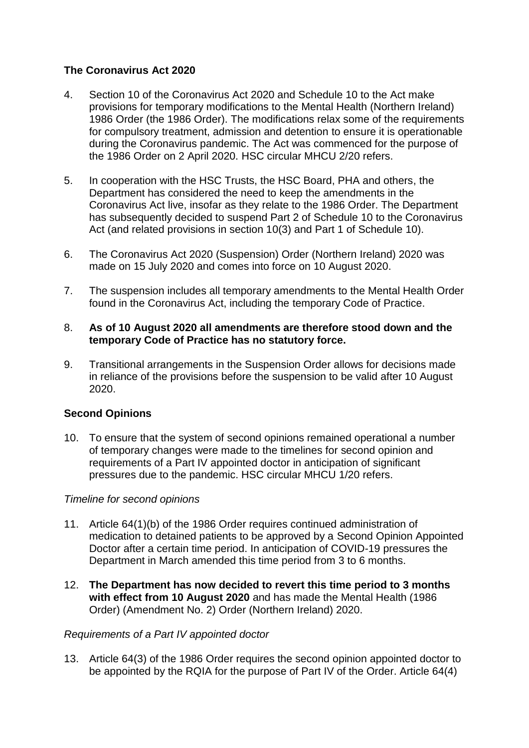## **The Coronavirus Act 2020**

- 4. Section 10 of the Coronavirus Act 2020 and Schedule 10 to the Act make provisions for temporary modifications to the Mental Health (Northern Ireland) 1986 Order (the 1986 Order). The modifications relax some of the requirements for compulsory treatment, admission and detention to ensure it is operationable during the Coronavirus pandemic. The Act was commenced for the purpose of the 1986 Order on 2 April 2020. HSC circular MHCU 2/20 refers.
- 5. In cooperation with the HSC Trusts, the HSC Board, PHA and others, the Department has considered the need to keep the amendments in the Coronavirus Act live, insofar as they relate to the 1986 Order. The Department has subsequently decided to suspend Part 2 of Schedule 10 to the Coronavirus Act (and related provisions in section 10(3) and Part 1 of Schedule 10).
- 6. The Coronavirus Act 2020 (Suspension) Order (Northern Ireland) 2020 was made on 15 July 2020 and comes into force on 10 August 2020.
- 7. The suspension includes all temporary amendments to the Mental Health Order found in the Coronavirus Act, including the temporary Code of Practice.

#### 8. **As of 10 August 2020 all amendments are therefore stood down and the temporary Code of Practice has no statutory force.**

9. Transitional arrangements in the Suspension Order allows for decisions made in reliance of the provisions before the suspension to be valid after 10 August 2020.

## **Second Opinions**

10. To ensure that the system of second opinions remained operational a number of temporary changes were made to the timelines for second opinion and requirements of a Part IV appointed doctor in anticipation of significant pressures due to the pandemic. HSC circular MHCU 1/20 refers.

## *Timeline for second opinions*

- 11. Article 64(1)(b) of the 1986 Order requires continued administration of medication to detained patients to be approved by a Second Opinion Appointed Doctor after a certain time period. In anticipation of COVID-19 pressures the Department in March amended this time period from 3 to 6 months.
- 12. **The Department has now decided to revert this time period to 3 months with effect from 10 August 2020** and has made the Mental Health (1986 Order) (Amendment No. 2) Order (Northern Ireland) 2020.

## *Requirements of a Part IV appointed doctor*

13. Article 64(3) of the 1986 Order requires the second opinion appointed doctor to be appointed by the RQIA for the purpose of Part IV of the Order. Article 64(4)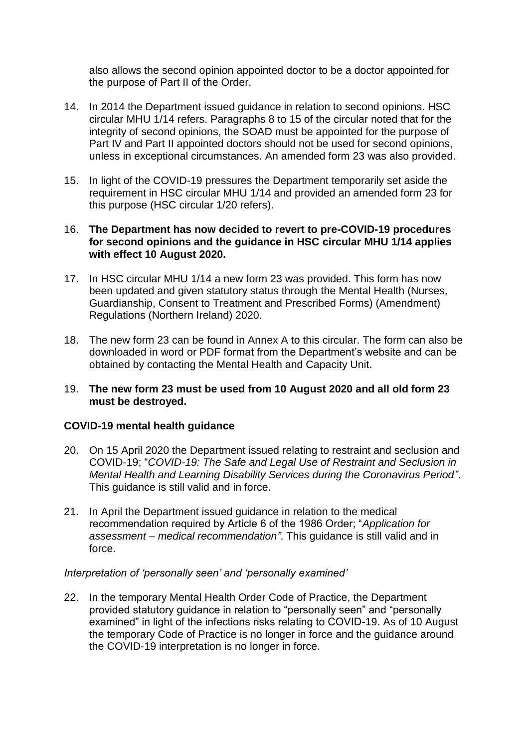also allows the second opinion appointed doctor to be a doctor appointed for the purpose of Part II of the Order.

- 14. In 2014 the Department issued guidance in relation to second opinions. HSC circular MHU 1/14 refers. Paragraphs 8 to 15 of the circular noted that for the integrity of second opinions, the SOAD must be appointed for the purpose of Part IV and Part II appointed doctors should not be used for second opinions, unless in exceptional circumstances. An amended form 23 was also provided.
- 15. In light of the COVID-19 pressures the Department temporarily set aside the requirement in HSC circular MHU 1/14 and provided an amended form 23 for this purpose (HSC circular 1/20 refers).

## 16. **The Department has now decided to revert to pre-COVID-19 procedures for second opinions and the guidance in HSC circular MHU 1/14 applies with effect 10 August 2020.**

- 17. In HSC circular MHU 1/14 a new form 23 was provided. This form has now been updated and given statutory status through the Mental Health (Nurses, Guardianship, Consent to Treatment and Prescribed Forms) (Amendment) Regulations (Northern Ireland) 2020.
- 18. The new form 23 can be found in Annex A to this circular. The form can also be downloaded in word or PDF format from the Department's website and can be obtained by contacting the Mental Health and Capacity Unit.

#### 19. **The new form 23 must be used from 10 August 2020 and all old form 23 must be destroyed.**

## **COVID-19 mental health guidance**

- 20. On 15 April 2020 the Department issued relating to restraint and seclusion and COVID-19; "*COVID-19: The Safe and Legal Use of Restraint and Seclusion in Mental Health and Learning Disability Services during the Coronavirus Period"*. This guidance is still valid and in force.
- 21. In April the Department issued guidance in relation to the medical recommendation required by Article 6 of the 1986 Order; "*Application for assessment – medical recommendation"*. This guidance is still valid and in force.

## *Interpretation of 'personally seen' and 'personally examined'*

22. In the temporary Mental Health Order Code of Practice, the Department provided statutory guidance in relation to "personally seen" and "personally examined" in light of the infections risks relating to COVID-19. As of 10 August the temporary Code of Practice is no longer in force and the guidance around the COVID-19 interpretation is no longer in force.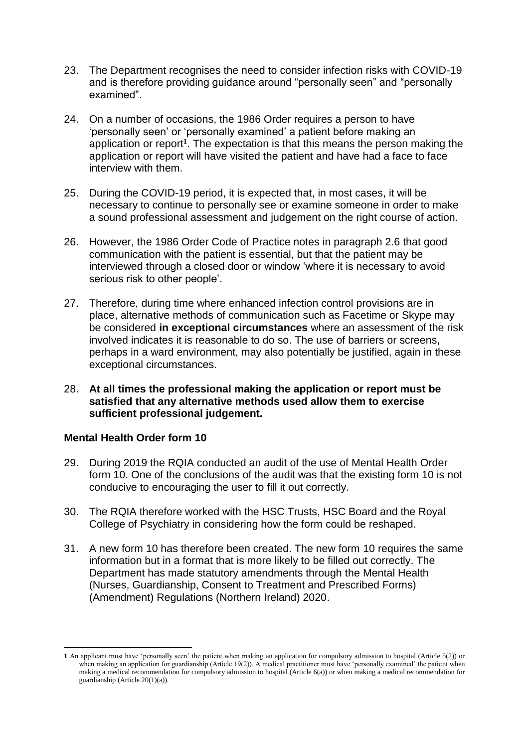- 23. The Department recognises the need to consider infection risks with COVID-19 and is therefore providing guidance around "personally seen" and "personally examined".
- 24. On a number of occasions, the 1986 Order requires a person to have 'personally seen' or 'personally examined' a patient before making an application or report**<sup>1</sup>** . The expectation is that this means the person making the application or report will have visited the patient and have had a face to face interview with them.
- 25. During the COVID-19 period, it is expected that, in most cases, it will be necessary to continue to personally see or examine someone in order to make a sound professional assessment and judgement on the right course of action.
- 26. However, the 1986 Order Code of Practice notes in paragraph 2.6 that good communication with the patient is essential, but that the patient may be interviewed through a closed door or window 'where it is necessary to avoid serious risk to other people'.
- 27. Therefore, during time where enhanced infection control provisions are in place, alternative methods of communication such as Facetime or Skype may be considered **in exceptional circumstances** where an assessment of the risk involved indicates it is reasonable to do so. The use of barriers or screens, perhaps in a ward environment, may also potentially be justified, again in these exceptional circumstances.
- 28. **At all times the professional making the application or report must be satisfied that any alternative methods used allow them to exercise sufficient professional judgement.**

#### **Mental Health Order form 10**

**.** 

- 29. During 2019 the RQIA conducted an audit of the use of Mental Health Order form 10. One of the conclusions of the audit was that the existing form 10 is not conducive to encouraging the user to fill it out correctly.
- 30. The RQIA therefore worked with the HSC Trusts, HSC Board and the Royal College of Psychiatry in considering how the form could be reshaped.
- 31. A new form 10 has therefore been created. The new form 10 requires the same information but in a format that is more likely to be filled out correctly. The Department has made statutory amendments through the Mental Health (Nurses, Guardianship, Consent to Treatment and Prescribed Forms) (Amendment) Regulations (Northern Ireland) 2020.

**<sup>1</sup>** An applicant must have 'personally seen' the patient when making an application for compulsory admission to hospital (Article 5(2)) or when making an application for guardianship (Article 19(2)). A medical practitioner must have 'personally examined' the patient when making a medical recommendation for compulsory admission to hospital (Article 6(a)) or when making a medical recommendation for guardianship (Article 20(1)(a)).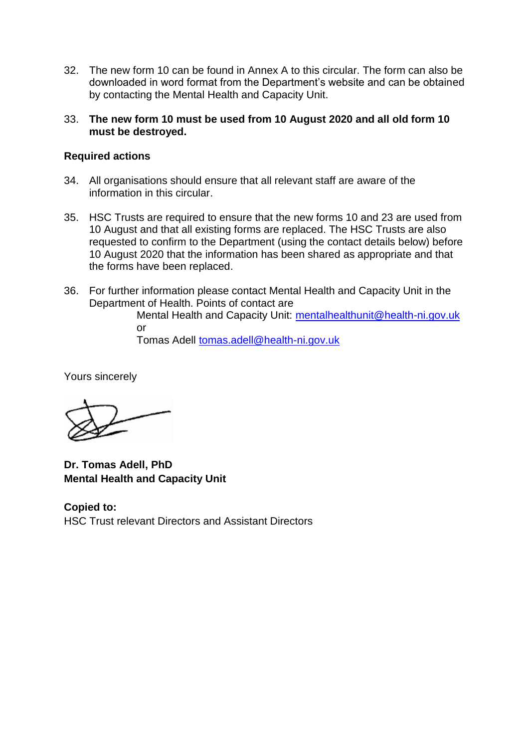- 32. The new form 10 can be found in Annex A to this circular. The form can also be downloaded in word format from the Department's website and can be obtained by contacting the Mental Health and Capacity Unit.
- 33. **The new form 10 must be used from 10 August 2020 and all old form 10 must be destroyed.**

#### **Required actions**

- 34. All organisations should ensure that all relevant staff are aware of the information in this circular.
- 35. HSC Trusts are required to ensure that the new forms 10 and 23 are used from 10 August and that all existing forms are replaced. The HSC Trusts are also requested to confirm to the Department (using the contact details below) before 10 August 2020 that the information has been shared as appropriate and that the forms have been replaced.
- 36. For further information please contact Mental Health and Capacity Unit in the Department of Health. Points of contact are

Mental Health and Capacity Unit: [mentalhealthunit@health-ni.gov.uk](mailto:mentalhealthunit@health-ni.gov.uk) or

Tomas Adell [tomas.adell@health-ni.gov.uk](mailto:tomas.adell@health-ni.gov.uk)

Yours sincerely

**Dr. Tomas Adell, PhD Mental Health and Capacity Unit**

**Copied to:** HSC Trust relevant Directors and Assistant Directors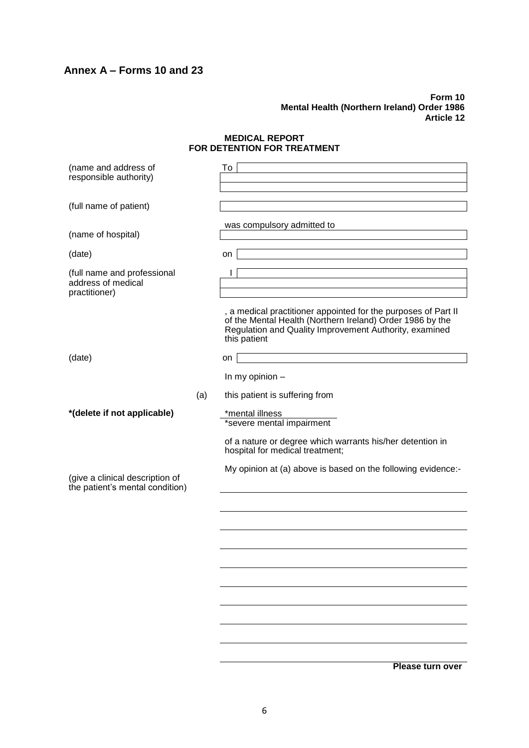## **Annex A – Forms 10 and 23**

#### **Form 10 Mental Health (Northern Ireland) Order 1986 Article 12**

#### **MEDICAL REPORT FOR DETENTION FOR TREATMENT**

| (name and address of<br>responsible authority)                     | To                                                                                                                                                                                                    |
|--------------------------------------------------------------------|-------------------------------------------------------------------------------------------------------------------------------------------------------------------------------------------------------|
| (full name of patient)                                             |                                                                                                                                                                                                       |
| (name of hospital)                                                 | was compulsory admitted to                                                                                                                                                                            |
| (date)                                                             | on                                                                                                                                                                                                    |
| (full name and professional<br>address of medical<br>practitioner) | L                                                                                                                                                                                                     |
|                                                                    | , a medical practitioner appointed for the purposes of Part II<br>of the Mental Health (Northern Ireland) Order 1986 by the<br>Regulation and Quality Improvement Authority, examined<br>this patient |
| (date)                                                             | on                                                                                                                                                                                                    |
|                                                                    | In my opinion $-$                                                                                                                                                                                     |
| (a)                                                                | this patient is suffering from                                                                                                                                                                        |
| *(delete if not applicable)                                        | *mental illness<br>*severe mental impairment                                                                                                                                                          |
|                                                                    | of a nature or degree which warrants his/her detention in<br>hospital for medical treatment;                                                                                                          |
| (give a clinical description of<br>the patient's mental condition) | My opinion at (a) above is based on the following evidence:-                                                                                                                                          |
|                                                                    |                                                                                                                                                                                                       |
|                                                                    |                                                                                                                                                                                                       |
|                                                                    |                                                                                                                                                                                                       |
|                                                                    |                                                                                                                                                                                                       |
|                                                                    |                                                                                                                                                                                                       |
|                                                                    |                                                                                                                                                                                                       |
|                                                                    |                                                                                                                                                                                                       |
|                                                                    |                                                                                                                                                                                                       |
|                                                                    | Please turn over                                                                                                                                                                                      |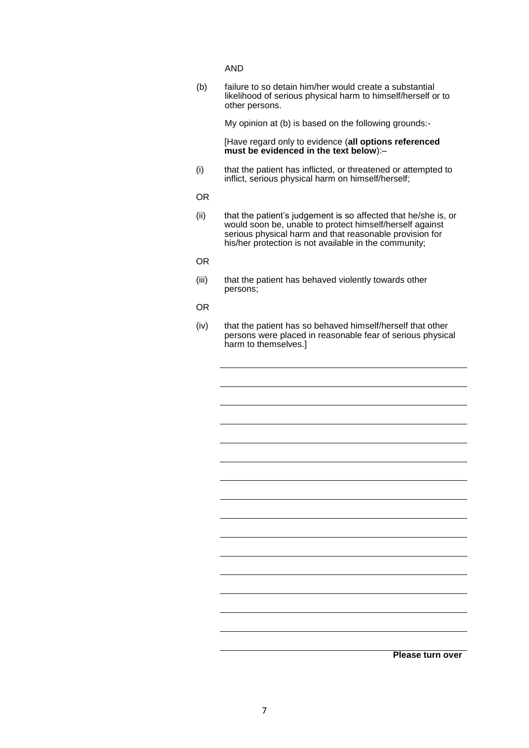AND

(b) failure to so detain him/her would create a substantial likelihood of serious physical harm to himself/herself or to other persons.

My opinion at (b) is based on the following grounds:-

[Have regard only to evidence (**all options referenced must be evidenced in the text below**):–

(i) that the patient has inflicted, or threatened or attempted to inflict, serious physical harm on himself/herself;

OR

- (ii) that the patient's judgement is so affected that he/she is, or would soon be, unable to protect himself/herself against serious physical harm and that reasonable provision for his/her protection is not available in the community;
- OR
- (iii) that the patient has behaved violently towards other persons;
- OR
- (iv) that the patient has so behaved himself/herself that other persons were placed in reasonable fear of serious physical harm to themselves.]

**Please turn over**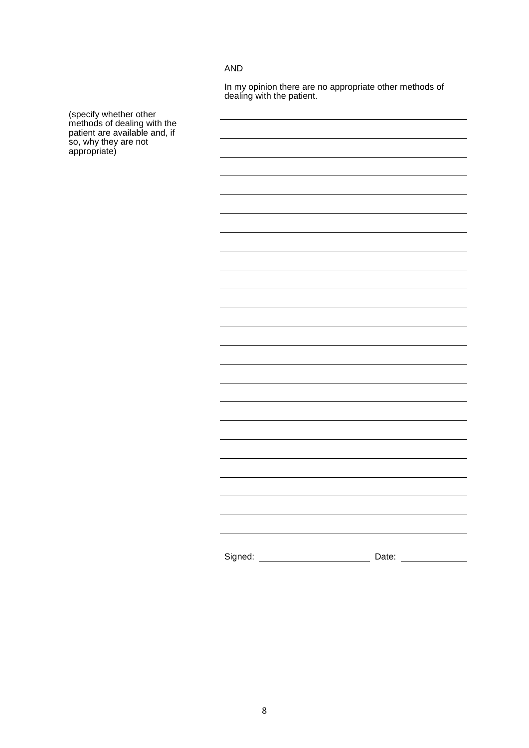#### AND

In my opinion there are no appropriate other methods of dealing with the patient.

(specify whether other methods of dealing with the patient are available and, if so, why they are not appropriate)

| Signed: |  | Date: |  |
|---------|--|-------|--|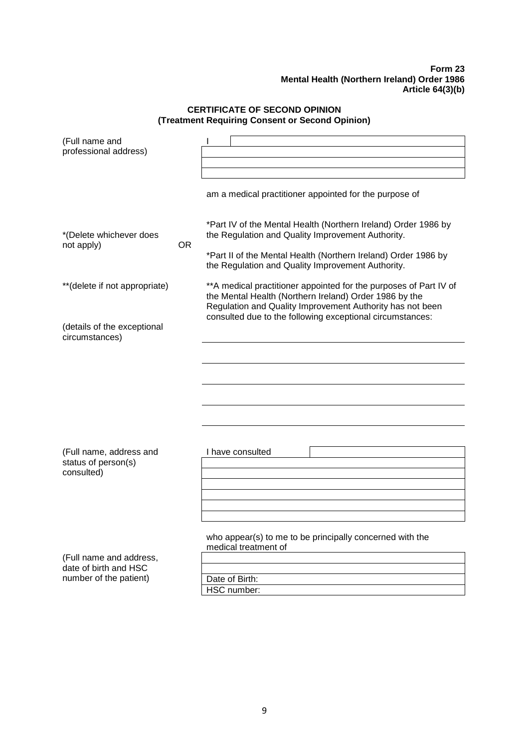#### **Form 23 Mental Health (Northern Ireland) Order 1986 Article 64(3)(b)**

#### **CERTIFICATE OF SECOND OPINION (Treatment Requiring Consent or Second Opinion)**

| (Full name and<br>professional address)                                    |           | am a medical practitioner appointed for the purpose of                                                                                                                                                                                                 |  |
|----------------------------------------------------------------------------|-----------|--------------------------------------------------------------------------------------------------------------------------------------------------------------------------------------------------------------------------------------------------------|--|
| *(Delete whichever does<br>not apply)                                      | <b>OR</b> | *Part IV of the Mental Health (Northern Ireland) Order 1986 by<br>the Regulation and Quality Improvement Authority.<br>*Part II of the Mental Health (Northern Ireland) Order 1986 by<br>the Regulation and Quality Improvement Authority.             |  |
| **(delete if not appropriate)                                              |           | ** A medical practitioner appointed for the purposes of Part IV of<br>the Mental Health (Northern Ireland) Order 1986 by the<br>Regulation and Quality Improvement Authority has not been<br>consulted due to the following exceptional circumstances: |  |
| (details of the exceptional<br>circumstances)                              |           |                                                                                                                                                                                                                                                        |  |
|                                                                            |           |                                                                                                                                                                                                                                                        |  |
|                                                                            |           |                                                                                                                                                                                                                                                        |  |
| (Full name, address and<br>status of person(s)<br>consulted)               |           | I have consulted                                                                                                                                                                                                                                       |  |
|                                                                            |           |                                                                                                                                                                                                                                                        |  |
| (Full name and address,<br>date of birth and HSC<br>number of the patient) |           | who appear(s) to me to be principally concerned with the<br>medical treatment of<br>Date of Birth:<br>HSC number:                                                                                                                                      |  |